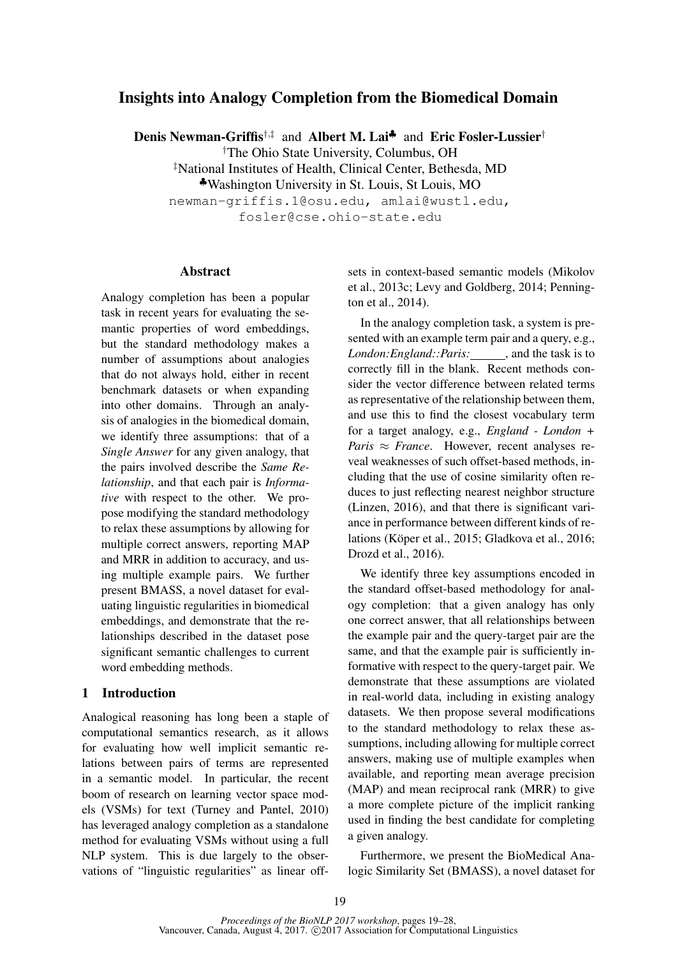# Insights into Analogy Completion from the Biomedical Domain

Denis Newman-Griffis<sup>†,‡</sup> and Albert M. Lai<sup>\*</sup> and Eric Fosler-Lussier<sup>†</sup>

†The Ohio State University, Columbus, OH

‡National Institutes of Health, Clinical Center, Bethesda, MD

♣Washington University in St. Louis, St Louis, MO

newman-griffis.1@osu.edu, amlai@wustl.edu,

fosler@cse.ohio-state.edu

# Abstract

Analogy completion has been a popular task in recent years for evaluating the semantic properties of word embeddings, but the standard methodology makes a number of assumptions about analogies that do not always hold, either in recent benchmark datasets or when expanding into other domains. Through an analysis of analogies in the biomedical domain, we identify three assumptions: that of a *Single Answer* for any given analogy, that the pairs involved describe the *Same Relationship*, and that each pair is *Informative* with respect to the other. We propose modifying the standard methodology to relax these assumptions by allowing for multiple correct answers, reporting MAP and MRR in addition to accuracy, and using multiple example pairs. We further present BMASS, a novel dataset for evaluating linguistic regularities in biomedical embeddings, and demonstrate that the relationships described in the dataset pose significant semantic challenges to current word embedding methods.

### 1 Introduction

Analogical reasoning has long been a staple of computational semantics research, as it allows for evaluating how well implicit semantic relations between pairs of terms are represented in a semantic model. In particular, the recent boom of research on learning vector space models (VSMs) for text (Turney and Pantel, 2010) has leveraged analogy completion as a standalone method for evaluating VSMs without using a full NLP system. This is due largely to the observations of "linguistic regularities" as linear offsets in context-based semantic models (Mikolov et al., 2013c; Levy and Goldberg, 2014; Pennington et al., 2014).

In the analogy completion task, a system is presented with an example term pair and a query, e.g., *London:England::Paris:* , and the task is to correctly fill in the blank. Recent methods consider the vector difference between related terms as representative of the relationship between them, and use this to find the closest vocabulary term for a target analogy, e.g., *England - London + Paris*  $\approx$  *France*. However, recent analyses reveal weaknesses of such offset-based methods, including that the use of cosine similarity often reduces to just reflecting nearest neighbor structure (Linzen, 2016), and that there is significant variance in performance between different kinds of relations (Köper et al., 2015; Gladkova et al., 2016; Drozd et al., 2016).

We identify three key assumptions encoded in the standard offset-based methodology for analogy completion: that a given analogy has only one correct answer, that all relationships between the example pair and the query-target pair are the same, and that the example pair is sufficiently informative with respect to the query-target pair. We demonstrate that these assumptions are violated in real-world data, including in existing analogy datasets. We then propose several modifications to the standard methodology to relax these assumptions, including allowing for multiple correct answers, making use of multiple examples when available, and reporting mean average precision (MAP) and mean reciprocal rank (MRR) to give a more complete picture of the implicit ranking used in finding the best candidate for completing a given analogy.

Furthermore, we present the BioMedical Analogic Similarity Set (BMASS), a novel dataset for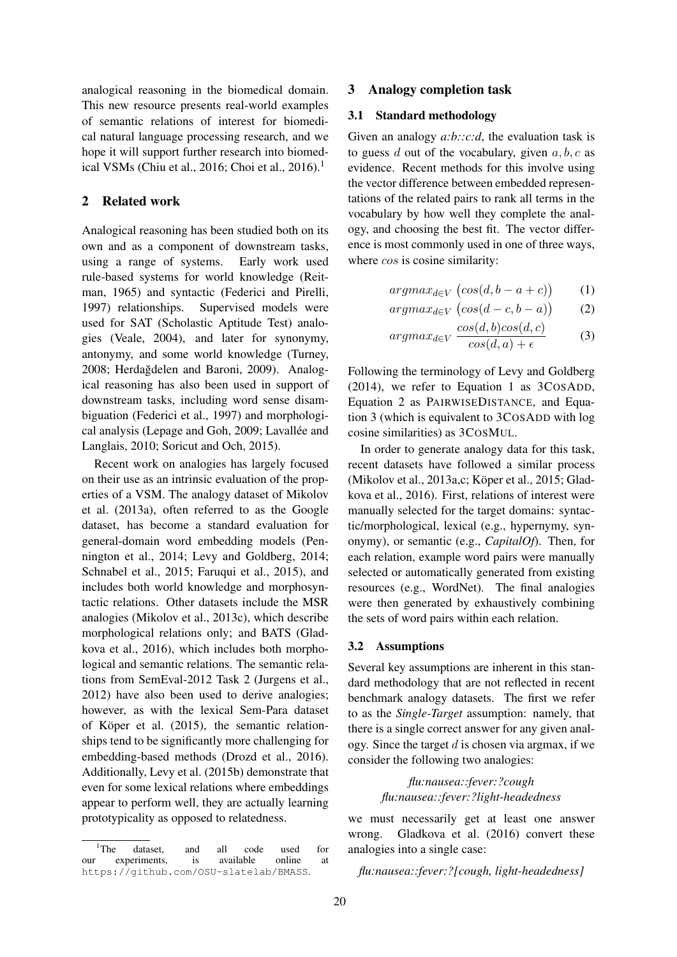analogical reasoning in the biomedical domain. This new resource presents real-world examples of semantic relations of interest for biomedical natural language processing research, and we hope it will support further research into biomedical VSMs (Chiu et al., 2016; Choi et al., 2016).<sup>1</sup>

# 2 Related work

Analogical reasoning has been studied both on its own and as a component of downstream tasks, using a range of systems. Early work used rule-based systems for world knowledge (Reitman, 1965) and syntactic (Federici and Pirelli, 1997) relationships. Supervised models were used for SAT (Scholastic Aptitude Test) analogies (Veale, 2004), and later for synonymy, antonymy, and some world knowledge (Turney, 2008; Herdağdelen and Baroni, 2009). Analogical reasoning has also been used in support of downstream tasks, including word sense disambiguation (Federici et al., 1997) and morphological analysis (Lepage and Goh, 2009; Lavallée and Langlais, 2010; Soricut and Och, 2015).

Recent work on analogies has largely focused on their use as an intrinsic evaluation of the properties of a VSM. The analogy dataset of Mikolov et al. (2013a), often referred to as the Google dataset, has become a standard evaluation for general-domain word embedding models (Pennington et al., 2014; Levy and Goldberg, 2014; Schnabel et al., 2015; Faruqui et al., 2015), and includes both world knowledge and morphosyntactic relations. Other datasets include the MSR analogies (Mikolov et al., 2013c), which describe morphological relations only; and BATS (Gladkova et al., 2016), which includes both morphological and semantic relations. The semantic relations from SemEval-2012 Task 2 (Jurgens et al., 2012) have also been used to derive analogies; however, as with the lexical Sem-Para dataset of Köper et al. (2015), the semantic relationships tend to be significantly more challenging for embedding-based methods (Drozd et al., 2016). Additionally, Levy et al. (2015b) demonstrate that even for some lexical relations where embeddings appear to perform well, they are actually learning prototypicality as opposed to relatedness.

# 3 Analogy completion task

#### 3.1 Standard methodology

Given an analogy *a:b::c:d*, the evaluation task is to guess d out of the vocabulary, given  $a, b, c$  as evidence. Recent methods for this involve using the vector difference between embedded representations of the related pairs to rank all terms in the vocabulary by how well they complete the analogy, and choosing the best fit. The vector difference is most commonly used in one of three ways, where  $\cos$  is cosine similarity:

$$
argmax_{d \in V} (cos(d, b - a + c)) \qquad (1)
$$

$$
argmax_{d \in V} (cos(d - c, b - a)) \qquad (2)
$$

$$
argmax_{d \in V} \frac{\cos(d, b)\cos(d, c)}{\cos(d, a) + \epsilon}
$$
 (3)

Following the terminology of Levy and Goldberg (2014), we refer to Equation 1 as 3COSADD, Equation 2 as PAIRWISEDISTANCE, and Equation 3 (which is equivalent to 3COSADD with log cosine similarities) as 3COSMUL.

In order to generate analogy data for this task, recent datasets have followed a similar process (Mikolov et al., 2013a,c; Köper et al., 2015; Gladkova et al., 2016). First, relations of interest were manually selected for the target domains: syntactic/morphological, lexical (e.g., hypernymy, synonymy), or semantic (e.g., *CapitalOf*). Then, for each relation, example word pairs were manually selected or automatically generated from existing resources (e.g., WordNet). The final analogies were then generated by exhaustively combining the sets of word pairs within each relation.

#### 3.2 Assumptions

Several key assumptions are inherent in this standard methodology that are not reflected in recent benchmark analogy datasets. The first we refer to as the *Single-Target* assumption: namely, that there is a single correct answer for any given analogy. Since the target  $d$  is chosen via argmax, if we consider the following two analogies:

> *flu:nausea::fever:?cough flu:nausea::fever:?light-headedness*

we must necessarily get at least one answer wrong. Gladkova et al. (2016) convert these analogies into a single case:

*flu:nausea::fever:?[cough, light-headedness]*

<sup>&</sup>lt;sup>1</sup>The dataset, and all code used for our experiments, is available online at https://github.com/OSU-slatelab/BMASS.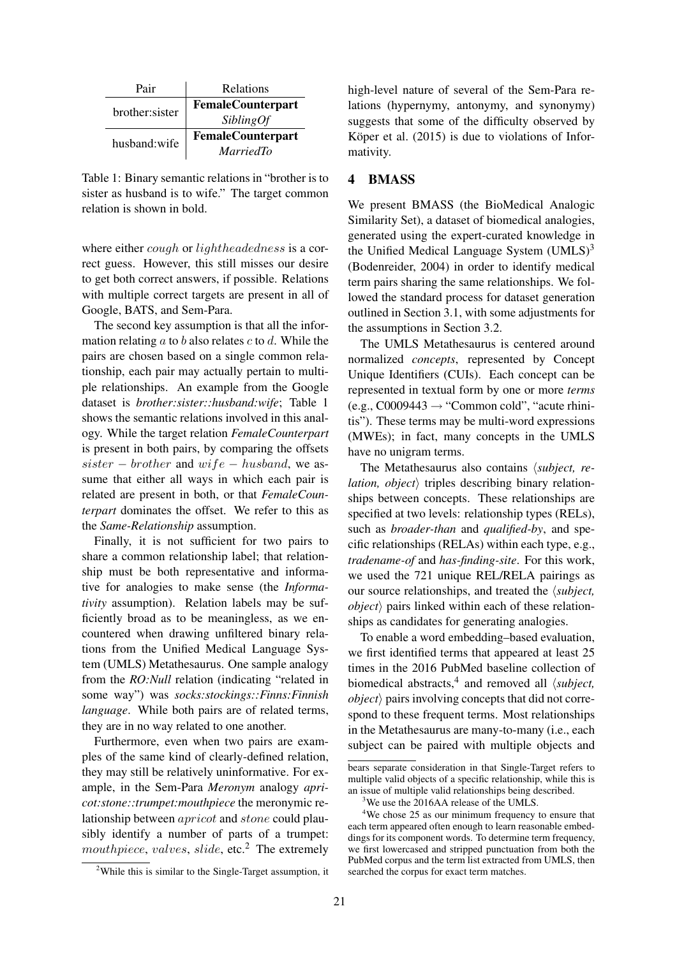| Pair           | Relations                |  |  |
|----------------|--------------------------|--|--|
| brother:sister | <b>FemaleCounterpart</b> |  |  |
|                | <i>SiblingOf</i>         |  |  |
| husband:wife   | <b>FemaleCounterpart</b> |  |  |
|                | <i>MarriedTo</i>         |  |  |

Table 1: Binary semantic relations in "brother is to sister as husband is to wife." The target common relation is shown in bold.

where either *cough* or *lightheadedness* is a correct guess. However, this still misses our desire to get both correct answers, if possible. Relations with multiple correct targets are present in all of Google, BATS, and Sem-Para.

The second key assumption is that all the information relating  $a$  to  $b$  also relates  $c$  to  $d$ . While the pairs are chosen based on a single common relationship, each pair may actually pertain to multiple relationships. An example from the Google dataset is *brother:sister::husband:wife*; Table 1 shows the semantic relations involved in this analogy. While the target relation *FemaleCounterpart* is present in both pairs, by comparing the offsets  $sister - brother$  and  $wife - husband$ , we assume that either all ways in which each pair is related are present in both, or that *FemaleCounterpart* dominates the offset. We refer to this as the *Same-Relationship* assumption.

Finally, it is not sufficient for two pairs to share a common relationship label; that relationship must be both representative and informative for analogies to make sense (the *Informativity* assumption). Relation labels may be sufficiently broad as to be meaningless, as we encountered when drawing unfiltered binary relations from the Unified Medical Language System (UMLS) Metathesaurus. One sample analogy from the *RO:Null* relation (indicating "related in some way") was *socks:stockings::Finns:Finnish language*. While both pairs are of related terms, they are in no way related to one another.

Furthermore, even when two pairs are examples of the same kind of clearly-defined relation, they may still be relatively uninformative. For example, in the Sem-Para *Meronym* analogy *apricot:stone::trumpet:mouthpiece* the meronymic relationship between apricot and stone could plausibly identify a number of parts of a trumpet: mouthpiece, valves, slide, etc.<sup>2</sup> The extremely

<sup>2</sup>While this is similar to the Single-Target assumption, it

high-level nature of several of the Sem-Para relations (hypernymy, antonymy, and synonymy) suggests that some of the difficulty observed by Köper et al.  $(2015)$  is due to violations of Informativity.

# 4 BMASS

We present BMASS (the BioMedical Analogic Similarity Set), a dataset of biomedical analogies, generated using the expert-curated knowledge in the Unified Medical Language System  $(UMLS)^3$ (Bodenreider, 2004) in order to identify medical term pairs sharing the same relationships. We followed the standard process for dataset generation outlined in Section 3.1, with some adjustments for the assumptions in Section 3.2.

The UMLS Metathesaurus is centered around normalized *concepts*, represented by Concept Unique Identifiers (CUIs). Each concept can be represented in textual form by one or more *terms*  $(e.g., C0009443 \rightarrow "Common cold", "acute thini$ tis"). These terms may be multi-word expressions (MWEs); in fact, many concepts in the UMLS have no unigram terms.

The Metathesaurus also contains *(subject, relation, object* $\rangle$  triples describing binary relationships between concepts. These relationships are specified at two levels: relationship types (RELs), such as *broader-than* and *qualified-by*, and specific relationships (RELAs) within each type, e.g., *tradename-of* and *has-finding-site*. For this work, we used the 721 unique REL/RELA pairings as our source relationships, and treated the *(subject,*  $object\rangle$  pairs linked within each of these relationships as candidates for generating analogies.

To enable a word embedding–based evaluation, we first identified terms that appeared at least 25 times in the 2016 PubMed baseline collection of biomedical abstracts,  $4$  and removed all  $\langle subject,$  $object\rangle$  pairs involving concepts that did not correspond to these frequent terms. Most relationships in the Metathesaurus are many-to-many (i.e., each subject can be paired with multiple objects and

bears separate consideration in that Single-Target refers to multiple valid objects of a specific relationship, while this is an issue of multiple valid relationships being described.

<sup>&</sup>lt;sup>3</sup>We use the 2016AA release of the UMLS.

<sup>4</sup>We chose 25 as our minimum frequency to ensure that each term appeared often enough to learn reasonable embeddings for its component words. To determine term frequency, we first lowercased and stripped punctuation from both the PubMed corpus and the term list extracted from UMLS, then searched the corpus for exact term matches.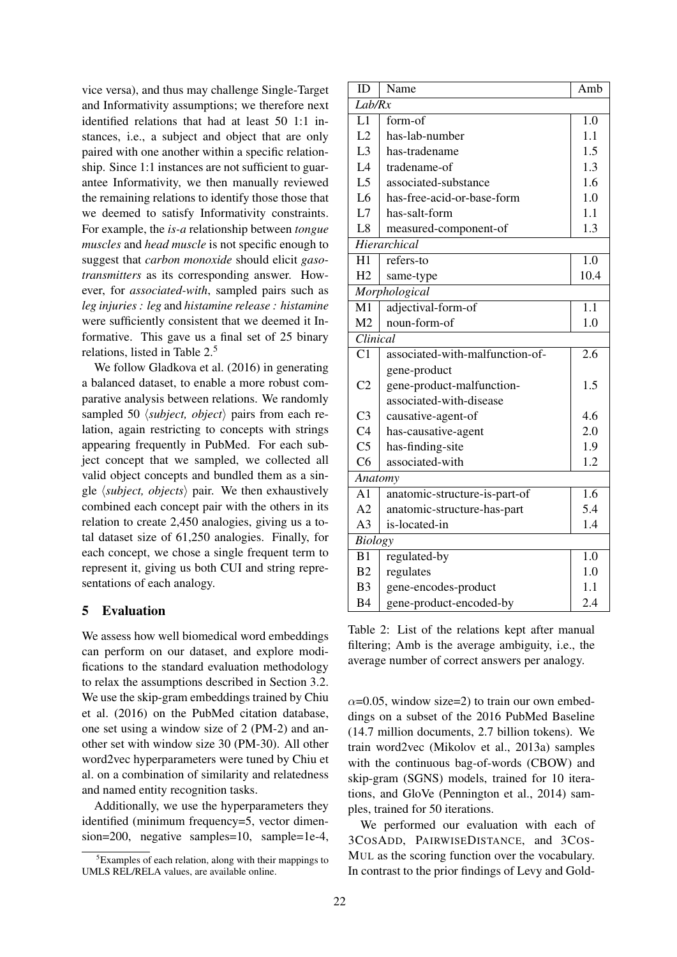vice versa), and thus may challenge Single-Target and Informativity assumptions; we therefore next identified relations that had at least 50 1:1 instances, i.e., a subject and object that are only paired with one another within a specific relationship. Since 1:1 instances are not sufficient to guarantee Informativity, we then manually reviewed the remaining relations to identify those those that we deemed to satisfy Informativity constraints. For example, the *is-a* relationship between *tongue muscles* and *head muscle* is not specific enough to suggest that *carbon monoxide* should elicit *gasotransmitters* as its corresponding answer. However, for *associated-with*, sampled pairs such as *leg injuries : leg* and *histamine release : histamine* were sufficiently consistent that we deemed it Informative. This gave us a final set of 25 binary relations, listed in Table 2.<sup>5</sup>

We follow Gladkova et al. (2016) in generating a balanced dataset, to enable a more robust comparative analysis between relations. We randomly sampled 50  $\langle subject, object \rangle$  pairs from each relation, again restricting to concepts with strings appearing frequently in PubMed. For each subject concept that we sampled, we collected all valid object concepts and bundled them as a single  $\langle subject, objects \rangle$  pair. We then exhaustively combined each concept pair with the others in its relation to create 2,450 analogies, giving us a total dataset size of 61,250 analogies. Finally, for each concept, we chose a single frequent term to represent it, giving us both CUI and string representations of each analogy.

# 5 Evaluation

We assess how well biomedical word embeddings can perform on our dataset, and explore modifications to the standard evaluation methodology to relax the assumptions described in Section 3.2. We use the skip-gram embeddings trained by Chiu et al. (2016) on the PubMed citation database, one set using a window size of 2 (PM-2) and another set with window size 30 (PM-30). All other word2vec hyperparameters were tuned by Chiu et al. on a combination of similarity and relatedness and named entity recognition tasks.

Additionally, we use the hyperparameters they identified (minimum frequency=5, vector dimension=200, negative samples=10, sample=1e-4,

| ID              | Name                            | Amb              |  |  |  |  |  |
|-----------------|---------------------------------|------------------|--|--|--|--|--|
| Lab/Rx          |                                 |                  |  |  |  |  |  |
| L1              | form-of                         | 1.0              |  |  |  |  |  |
| L2              | has-lab-number                  | 1.1              |  |  |  |  |  |
| L <sub>3</sub>  | has-tradename                   | 1.5              |  |  |  |  |  |
| L4              | tradename-of                    | 1.3              |  |  |  |  |  |
| L <sub>5</sub>  | associated-substance            | 1.6              |  |  |  |  |  |
| L <sub>6</sub>  | has-free-acid-or-base-form      | 1.0              |  |  |  |  |  |
| L7              | has-salt-form                   | 1.1              |  |  |  |  |  |
| L8              | measured-component-of           | 1.3              |  |  |  |  |  |
|                 | Hierarchical                    |                  |  |  |  |  |  |
| H1              | refers-to                       | 1.0              |  |  |  |  |  |
| H <sub>2</sub>  | same-type                       | 10.4             |  |  |  |  |  |
|                 | Morphological                   |                  |  |  |  |  |  |
| M <sub>1</sub>  | adjectival-form-of              | $\overline{1.1}$ |  |  |  |  |  |
| M <sub>2</sub>  | noun-form-of                    | 1.0              |  |  |  |  |  |
| Clinical        |                                 |                  |  |  |  |  |  |
| $\overline{C1}$ | associated-with-malfunction-of- | 2.6              |  |  |  |  |  |
|                 | gene-product                    |                  |  |  |  |  |  |
| C <sub>2</sub>  | gene-product-malfunction-       | 1.5              |  |  |  |  |  |
|                 | associated-with-disease         |                  |  |  |  |  |  |
| C <sub>3</sub>  | causative-agent-of              | 4.6              |  |  |  |  |  |
| C <sub>4</sub>  | has-causative-agent             | 2.0              |  |  |  |  |  |
| C <sub>5</sub>  | has-finding-site                | 1.9              |  |  |  |  |  |
| C <sub>6</sub>  | associated-with                 | 1.2              |  |  |  |  |  |
|                 | Anatomy                         |                  |  |  |  |  |  |
| A <sub>1</sub>  | anatomic-structure-is-part-of   | 1.6              |  |  |  |  |  |
| A <sub>2</sub>  | anatomic-structure-has-part     | 5.4              |  |  |  |  |  |
| A <sub>3</sub>  | is-located-in                   | 1.4              |  |  |  |  |  |
| <b>Biology</b>  |                                 |                  |  |  |  |  |  |
| B1              | regulated-by                    | 1.0              |  |  |  |  |  |
| B <sub>2</sub>  | regulates                       | 1.0              |  |  |  |  |  |
| B <sub>3</sub>  | gene-encodes-product            | 1.1              |  |  |  |  |  |
| <b>B4</b>       | gene-product-encoded-by         | 2.4              |  |  |  |  |  |

Table 2: List of the relations kept after manual filtering; Amb is the average ambiguity, i.e., the average number of correct answers per analogy.

 $\alpha$ =0.05, window size=2) to train our own embeddings on a subset of the 2016 PubMed Baseline (14.7 million documents, 2.7 billion tokens). We train word2vec (Mikolov et al., 2013a) samples with the continuous bag-of-words (CBOW) and skip-gram (SGNS) models, trained for 10 iterations, and GloVe (Pennington et al., 2014) samples, trained for 50 iterations.

We performed our evaluation with each of 3COSADD, PAIRWISEDISTANCE, and 3COS-MUL as the scoring function over the vocabulary. In contrast to the prior findings of Levy and Gold-

<sup>5</sup>Examples of each relation, along with their mappings to UMLS REL/RELA values, are available online.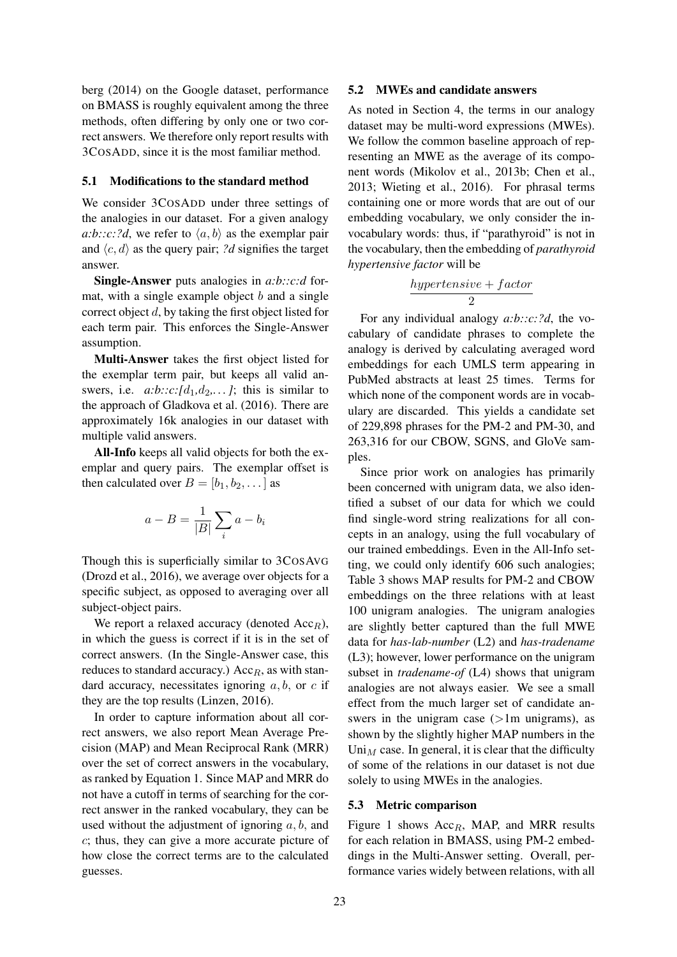berg (2014) on the Google dataset, performance on BMASS is roughly equivalent among the three methods, often differing by only one or two correct answers. We therefore only report results with 3COSADD, since it is the most familiar method.

#### 5.1 Modifications to the standard method

We consider 3COSADD under three settings of the analogies in our dataset. For a given analogy *a:b::c:?d*, we refer to  $\langle a, b \rangle$  as the exemplar pair and  $\langle c, d \rangle$  as the query pair; *?d* signifies the target answer.

Single-Answer puts analogies in *a:b::c:d* format, with a single example object  $b$  and a single correct object d, by taking the first object listed for each term pair. This enforces the Single-Answer assumption.

Multi-Answer takes the first object listed for the exemplar term pair, but keeps all valid answers, i.e.  $a:b::c:[d_1,d_2,...]$ ; this is similar to the approach of Gladkova et al. (2016). There are approximately 16k analogies in our dataset with multiple valid answers.

All-Info keeps all valid objects for both the exemplar and query pairs. The exemplar offset is then calculated over  $B = [b_1, b_2, \dots]$  as

$$
a - B = \frac{1}{|B|} \sum_{i} a - b_i
$$

Though this is superficially similar to 3COSAVG (Drozd et al., 2016), we average over objects for a specific subject, as opposed to averaging over all subject-object pairs.

We report a relaxed accuracy (denoted  $Acc<sub>R</sub>$ ), in which the guess is correct if it is in the set of correct answers. (In the Single-Answer case, this reduces to standard accuracy.)  $Acc_R$ , as with standard accuracy, necessitates ignoring  $a, b$ , or  $c$  if they are the top results (Linzen, 2016).

In order to capture information about all correct answers, we also report Mean Average Precision (MAP) and Mean Reciprocal Rank (MRR) over the set of correct answers in the vocabulary, as ranked by Equation 1. Since MAP and MRR do not have a cutoff in terms of searching for the correct answer in the ranked vocabulary, they can be used without the adjustment of ignoring  $a, b$ , and c; thus, they can give a more accurate picture of how close the correct terms are to the calculated guesses.

### 5.2 MWEs and candidate answers

As noted in Section 4, the terms in our analogy dataset may be multi-word expressions (MWEs). We follow the common baseline approach of representing an MWE as the average of its component words (Mikolov et al., 2013b; Chen et al., 2013; Wieting et al., 2016). For phrasal terms containing one or more words that are out of our embedding vocabulary, we only consider the invocabulary words: thus, if "parathyroid" is not in the vocabulary, then the embedding of *parathyroid hypertensive factor* will be

$$
\frac{hypertensive + factor}{2}
$$

For any individual analogy *a:b::c:?d*, the vocabulary of candidate phrases to complete the analogy is derived by calculating averaged word embeddings for each UMLS term appearing in PubMed abstracts at least 25 times. Terms for which none of the component words are in vocabulary are discarded. This yields a candidate set of 229,898 phrases for the PM-2 and PM-30, and 263,316 for our CBOW, SGNS, and GloVe samples.

Since prior work on analogies has primarily been concerned with unigram data, we also identified a subset of our data for which we could find single-word string realizations for all concepts in an analogy, using the full vocabulary of our trained embeddings. Even in the All-Info setting, we could only identify 606 such analogies; Table 3 shows MAP results for PM-2 and CBOW embeddings on the three relations with at least 100 unigram analogies. The unigram analogies are slightly better captured than the full MWE data for *has-lab-number* (L2) and *has-tradename* (L3); however, lower performance on the unigram subset in *tradename-of* (L4) shows that unigram analogies are not always easier. We see a small effect from the much larger set of candidate answers in the unigram case  $(>1m$  unigrams), as shown by the slightly higher MAP numbers in the Uni<sub>M</sub> case. In general, it is clear that the difficulty of some of the relations in our dataset is not due solely to using MWEs in the analogies.

### 5.3 Metric comparison

Figure 1 shows  $Acc_R$ , MAP, and MRR results for each relation in BMASS, using PM-2 embeddings in the Multi-Answer setting. Overall, performance varies widely between relations, with all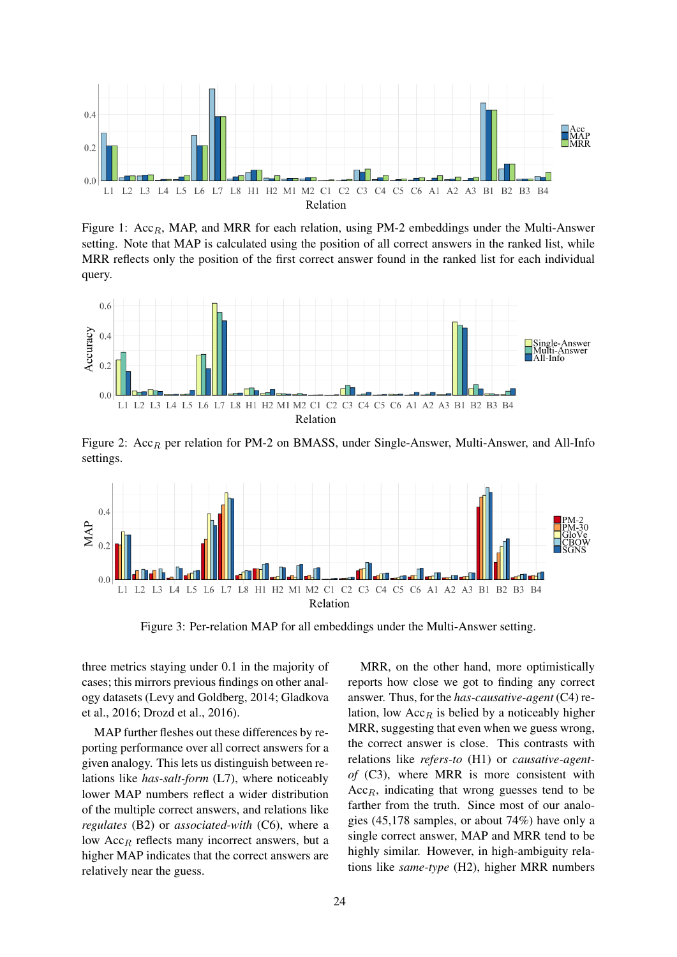

Figure 1:  $Acc_R$ , MAP, and MRR for each relation, using PM-2 embeddings under the Multi-Answer setting. Note that MAP is calculated using the position of all correct answers in the ranked list, while MRR reflects only the position of the first correct answer found in the ranked list for each individual query.



Figure 2:  $Acc_R$  per relation for PM-2 on BMASS, under Single-Answer, Multi-Answer, and All-Info settings.



Figure 3: Per-relation MAP for all embeddings under the Multi-Answer setting.

three metrics staying under 0.1 in the majority of cases; this mirrors previous findings on other analogy datasets (Levy and Goldberg, 2014; Gladkova et al., 2016; Drozd et al., 2016).

MAP further fleshes out these differences by reporting performance over all correct answers for a given analogy. This lets us distinguish between relations like *has-salt-form* (L7), where noticeably lower MAP numbers reflect a wider distribution of the multiple correct answers, and relations like *regulates* (B2) or *associated-with* (C6), where a low  $Acc<sub>R</sub>$  reflects many incorrect answers, but a higher MAP indicates that the correct answers are relatively near the guess.

MRR, on the other hand, more optimistically reports how close we got to finding any correct answer. Thus, for the *has-causative-agent* (C4) relation, low  $Acc_R$  is belied by a noticeably higher MRR, suggesting that even when we guess wrong, the correct answer is close. This contrasts with relations like *refers-to* (H1) or *causative-agentof* (C3), where MRR is more consistent with  $Acc<sub>B</sub>$ , indicating that wrong guesses tend to be farther from the truth. Since most of our analogies (45,178 samples, or about 74%) have only a single correct answer, MAP and MRR tend to be highly similar. However, in high-ambiguity relations like *same-type* (H2), higher MRR numbers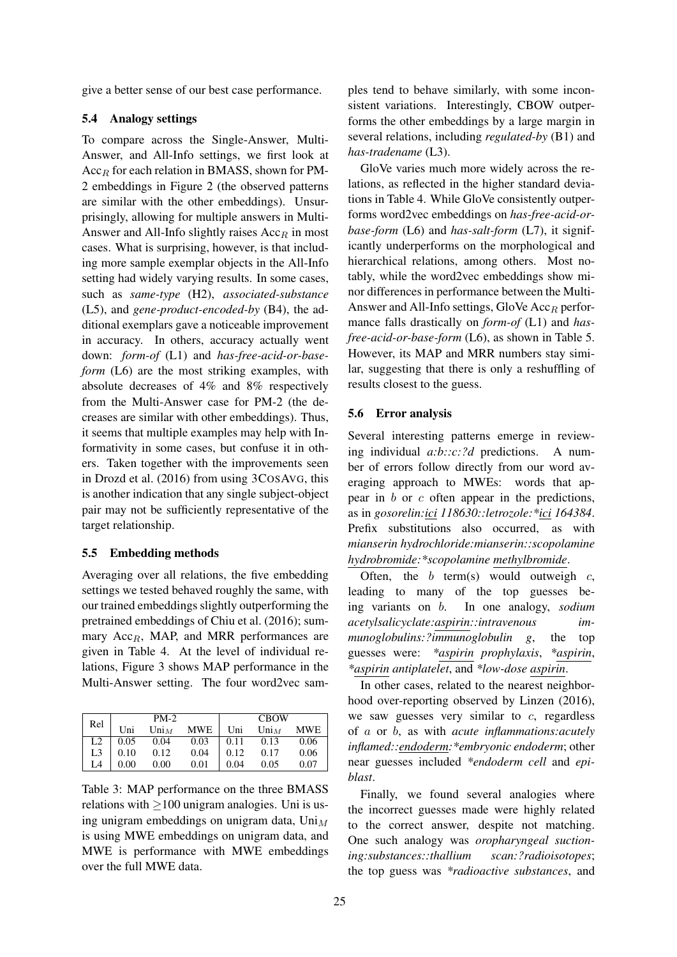give a better sense of our best case performance.

### 5.4 Analogy settings

To compare across the Single-Answer, Multi-Answer, and All-Info settings, we first look at  $Acc<sub>B</sub>$  for each relation in BMASS, shown for PM-2 embeddings in Figure 2 (the observed patterns are similar with the other embeddings). Unsurprisingly, allowing for multiple answers in Multi-Answer and All-Info slightly raises  $Acc<sub>R</sub>$  in most cases. What is surprising, however, is that including more sample exemplar objects in the All-Info setting had widely varying results. In some cases, such as *same-type* (H2), *associated-substance* (L5), and *gene-product-encoded-by* (B4), the additional exemplars gave a noticeable improvement in accuracy. In others, accuracy actually went down: *form-of* (L1) and *has-free-acid-or-baseform* (L6) are the most striking examples, with absolute decreases of 4% and 8% respectively from the Multi-Answer case for PM-2 (the decreases are similar with other embeddings). Thus, it seems that multiple examples may help with Informativity in some cases, but confuse it in others. Taken together with the improvements seen in Drozd et al. (2016) from using 3COSAVG, this is another indication that any single subject-object pair may not be sufficiently representative of the target relationship.

#### 5.5 Embedding methods

Averaging over all relations, the five embedding settings we tested behaved roughly the same, with our trained embeddings slightly outperforming the pretrained embeddings of Chiu et al. (2016); summary  $Acc<sub>R</sub>$ , MAP, and MRR performances are given in Table 4. At the level of individual relations, Figure 3 shows MAP performance in the Multi-Answer setting. The four word2vec sam-

| Rel |      | $PM-2$         |      | <b>CBOW</b> |                |            |
|-----|------|----------------|------|-------------|----------------|------------|
|     | Uni  | $\text{Uni}_M$ | MWE  | Uni         | $\text{Uni}_M$ | <b>MWE</b> |
| L2  | 0.05 | 0.04           | 0.03 | 0.11        | 0.13           | 0.06       |
| L3  | 0.10 | 0.12           | 0.04 | 0.12        | 0.17           | 0.06       |
| L4  | 0.00 | 0.00           | 0.01 | 0.04        | 0.05           | 0.07       |

Table 3: MAP performance on the three BMASS relations with  $\geq$ 100 unigram analogies. Uni is using unigram embeddings on unigram data,  $\text{Uni}_M$ is using MWE embeddings on unigram data, and MWE is performance with MWE embeddings over the full MWE data.

ples tend to behave similarly, with some inconsistent variations. Interestingly, CBOW outperforms the other embeddings by a large margin in several relations, including *regulated-by* (B1) and *has-tradename* (L3).

GloVe varies much more widely across the relations, as reflected in the higher standard deviations in Table 4. While GloVe consistently outperforms word2vec embeddings on *has-free-acid-orbase-form* (L6) and *has-salt-form* (L7), it significantly underperforms on the morphological and hierarchical relations, among others. Most notably, while the word2vec embeddings show minor differences in performance between the Multi-Answer and All-Info settings, GloVe  $Acc_R$  performance falls drastically on *form-of* (L1) and *hasfree-acid-or-base-form* (L6), as shown in Table 5. However, its MAP and MRR numbers stay similar, suggesting that there is only a reshuffling of results closest to the guess.

#### 5.6 Error analysis

Several interesting patterns emerge in reviewing individual *a:b::c:?d* predictions. A number of errors follow directly from our word averaging approach to MWEs: words that appear in b or c often appear in the predictions, as in *gosorelin:ici 118630::letrozole:\*ici 164384*. Prefix substitutions also occurred, as with *mianserin hydrochloride:mianserin::scopolamine hydrobromide:\*scopolamine methylbromide*.

Often, the  $b$  term(s) would outweigh  $c$ , leading to many of the top guesses being variants on b. In one analogy, *sodium acetylsalicyclate:aspirin::intravenous immunoglobulins:?immunoglobulin g*, the top guesses were: *\*aspirin prophylaxis*, *\*aspirin*, *\*aspirin antiplatelet*, and *\*low-dose aspirin*.

In other cases, related to the nearest neighborhood over-reporting observed by Linzen (2016), we saw guesses very similar to  $c$ , regardless of a or b, as with *acute inflammations:acutely inflamed::endoderm:\*embryonic endoderm*; other near guesses included *\*endoderm cell* and *epiblast*.

Finally, we found several analogies where the incorrect guesses made were highly related to the correct answer, despite not matching. One such analogy was *oropharyngeal suctioning:substances::thallium scan:?radioisotopes*; the top guess was *\*radioactive substances*, and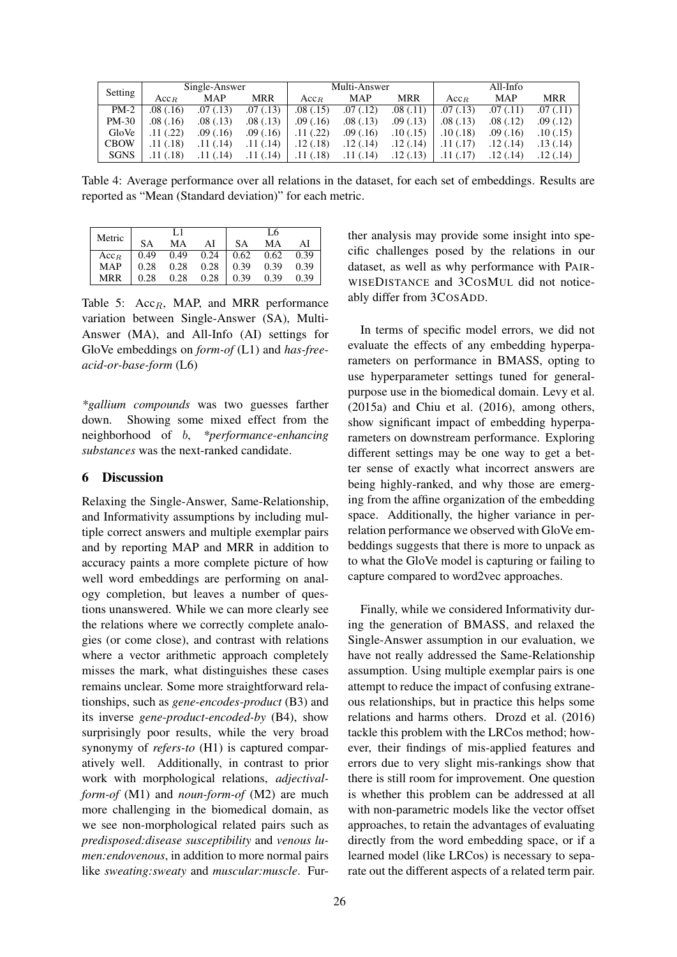| Setting     | Single-Answer    |           |            | Multi-Answer     |           |           | All-Info  |            |           |
|-------------|------------------|-----------|------------|------------------|-----------|-----------|-----------|------------|-----------|
|             | Acc <sub>B</sub> | MAP       | <b>MRR</b> | Acc <sub>B</sub> | MAP       | MRR       | $Acc_{B}$ | <b>MAP</b> | MRR       |
| $PM-2$      | .08(0.16)        | .07(0.13) | .07(0.13)  | .08(0.15)        | .07(0.12) | .08(.11)  | .07(0.13) | .07(0.11)  | .07(0.11) |
| $PM-30$     | .08(.16)         | .08(0.13) | .08(.13)   | .09(0.16)        | .08(0.13) | .09(0.13) | .08(0.13) | .08(.12)   | .09(.12)  |
| GloVe       | .11(.22)         | .09(0.16) | .09(0.16)  | .11(.22)         | .09(0.16) | .10(0.15) | .10(0.18) | .09(0.16)  | .10(0.15) |
| <b>CBOW</b> | .11(.18)         | .11(.14)  | .11(.14)   | .12(0.18)        | .12(0.14) | .12(0.14) | 11(.17)   | .12 (.14)  | .13(.14)  |
| <b>SGNS</b> | .11(.18)         | .11(.14)  | .11(.14)   | .11(.18)         | .11(.14)  | .12(0.13) |           | .12 (.14)  | .12(0.14) |

Table 4: Average performance over all relations in the dataset, for each set of embeddings. Results are reported as "Mean (Standard deviation)" for each metric.

| Metric           |           | L1   |      |             | L6   |      |
|------------------|-----------|------|------|-------------|------|------|
|                  | <b>SA</b> | MА   | AI   | <b>SA</b>   | MА   | ΑI   |
| Acc <sub>B</sub> | 0.49      | 0.49 | 0.24 | $\mid$ 0.62 | 0.62 | 0.39 |
| <b>MAP</b>       | 0.28      | 0.28 | 0.28 | 0.39        | 0.39 | 0.39 |
| MRR              | 0.28      | 0.28 | 0.28 | 0.39        | 0.39 | 0.39 |

Table 5:  $Acc_R$ , MAP, and MRR performance variation between Single-Answer (SA), Multi-Answer (MA), and All-Info (AI) settings for GloVe embeddings on *form-of* (L1) and *has-freeacid-or-base-form* (L6)

*\*gallium compounds* was two guesses farther down. Showing some mixed effect from the neighborhood of b, *\*performance-enhancing substances* was the next-ranked candidate.

### 6 Discussion

Relaxing the Single-Answer, Same-Relationship, and Informativity assumptions by including multiple correct answers and multiple exemplar pairs and by reporting MAP and MRR in addition to accuracy paints a more complete picture of how well word embeddings are performing on analogy completion, but leaves a number of questions unanswered. While we can more clearly see the relations where we correctly complete analogies (or come close), and contrast with relations where a vector arithmetic approach completely misses the mark, what distinguishes these cases remains unclear. Some more straightforward relationships, such as *gene-encodes-product* (B3) and its inverse *gene-product-encoded-by* (B4), show surprisingly poor results, while the very broad synonymy of *refers-to* (H1) is captured comparatively well. Additionally, in contrast to prior work with morphological relations, *adjectivalform-of* (M1) and *noun-form-of* (M2) are much more challenging in the biomedical domain, as we see non-morphological related pairs such as *predisposed:disease susceptibility* and *venous lumen:endovenous*, in addition to more normal pairs like *sweating:sweaty* and *muscular:muscle*. Further analysis may provide some insight into specific challenges posed by the relations in our dataset, as well as why performance with PAIR-WISEDISTANCE and 3COSMUL did not noticeably differ from 3COSADD.

In terms of specific model errors, we did not evaluate the effects of any embedding hyperparameters on performance in BMASS, opting to use hyperparameter settings tuned for generalpurpose use in the biomedical domain. Levy et al. (2015a) and Chiu et al. (2016), among others, show significant impact of embedding hyperparameters on downstream performance. Exploring different settings may be one way to get a better sense of exactly what incorrect answers are being highly-ranked, and why those are emerging from the affine organization of the embedding space. Additionally, the higher variance in perrelation performance we observed with GloVe embeddings suggests that there is more to unpack as to what the GloVe model is capturing or failing to capture compared to word2vec approaches.

Finally, while we considered Informativity during the generation of BMASS, and relaxed the Single-Answer assumption in our evaluation, we have not really addressed the Same-Relationship assumption. Using multiple exemplar pairs is one attempt to reduce the impact of confusing extraneous relationships, but in practice this helps some relations and harms others. Drozd et al. (2016) tackle this problem with the LRCos method; however, their findings of mis-applied features and errors due to very slight mis-rankings show that there is still room for improvement. One question is whether this problem can be addressed at all with non-parametric models like the vector offset approaches, to retain the advantages of evaluating directly from the word embedding space, or if a learned model (like LRCos) is necessary to separate out the different aspects of a related term pair.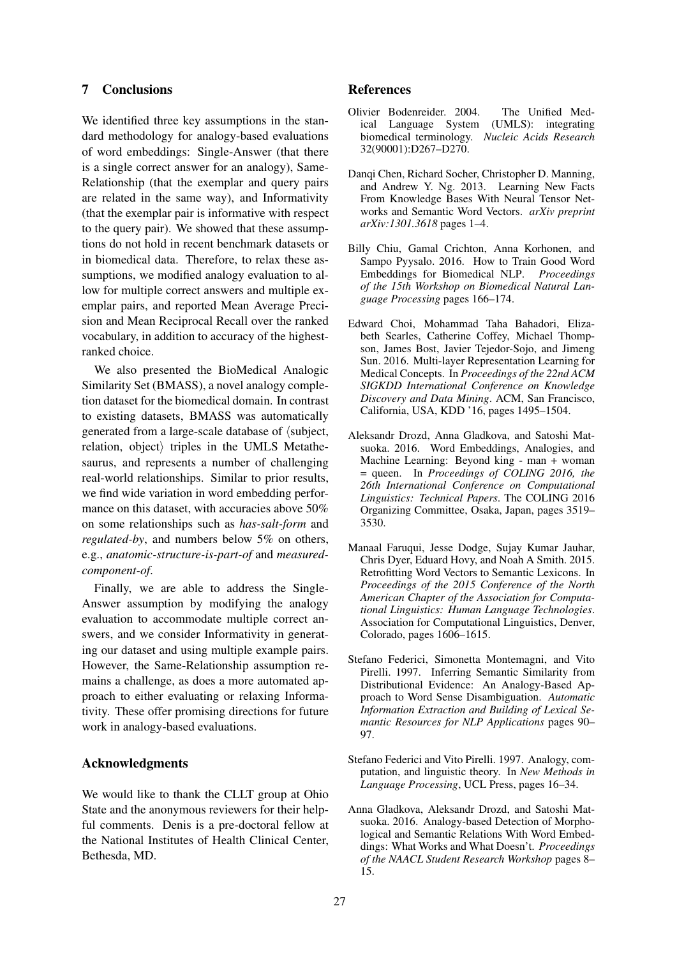# 7 Conclusions

We identified three key assumptions in the standard methodology for analogy-based evaluations of word embeddings: Single-Answer (that there is a single correct answer for an analogy), Same-Relationship (that the exemplar and query pairs are related in the same way), and Informativity (that the exemplar pair is informative with respect to the query pair). We showed that these assumptions do not hold in recent benchmark datasets or in biomedical data. Therefore, to relax these assumptions, we modified analogy evaluation to allow for multiple correct answers and multiple exemplar pairs, and reported Mean Average Precision and Mean Reciprocal Recall over the ranked vocabulary, in addition to accuracy of the highestranked choice.

We also presented the BioMedical Analogic Similarity Set (BMASS), a novel analogy completion dataset for the biomedical domain. In contrast to existing datasets, BMASS was automatically generated from a large-scale database of  $\langle \text{subject}, \rangle$  $relation$ , object $\rangle$  triples in the UMLS Metathesaurus, and represents a number of challenging real-world relationships. Similar to prior results, we find wide variation in word embedding performance on this dataset, with accuracies above 50% on some relationships such as *has-salt-form* and *regulated-by*, and numbers below 5% on others, e.g., *anatomic-structure-is-part-of* and *measuredcomponent-of*.

Finally, we are able to address the Single-Answer assumption by modifying the analogy evaluation to accommodate multiple correct answers, and we consider Informativity in generating our dataset and using multiple example pairs. However, the Same-Relationship assumption remains a challenge, as does a more automated approach to either evaluating or relaxing Informativity. These offer promising directions for future work in analogy-based evaluations.

### Acknowledgments

We would like to thank the CLLT group at Ohio State and the anonymous reviewers for their helpful comments. Denis is a pre-doctoral fellow at the National Institutes of Health Clinical Center, Bethesda, MD.

### References

- Olivier Bodenreider. 2004. The Unified Med-<br>ical Language System (UMLS): integrating ical Language System biomedical terminology. *Nucleic Acids Research* 32(90001):D267–D270.
- Danqi Chen, Richard Socher, Christopher D. Manning, and Andrew Y. Ng. 2013. Learning New Facts From Knowledge Bases With Neural Tensor Networks and Semantic Word Vectors. *arXiv preprint arXiv:1301.3618* pages 1–4.
- Billy Chiu, Gamal Crichton, Anna Korhonen, and Sampo Pyysalo. 2016. How to Train Good Word Embeddings for Biomedical NLP. *Proceedings of the 15th Workshop on Biomedical Natural Language Processing* pages 166–174.
- Edward Choi, Mohammad Taha Bahadori, Elizabeth Searles, Catherine Coffey, Michael Thompson, James Bost, Javier Tejedor-Sojo, and Jimeng Sun. 2016. Multi-layer Representation Learning for Medical Concepts. In *Proceedings of the 22nd ACM SIGKDD International Conference on Knowledge Discovery and Data Mining*. ACM, San Francisco, California, USA, KDD '16, pages 1495–1504.
- Aleksandr Drozd, Anna Gladkova, and Satoshi Matsuoka. 2016. Word Embeddings, Analogies, and Machine Learning: Beyond king - man + woman = queen. In *Proceedings of COLING 2016, the 26th International Conference on Computational Linguistics: Technical Papers*. The COLING 2016 Organizing Committee, Osaka, Japan, pages 3519– 3530.
- Manaal Faruqui, Jesse Dodge, Sujay Kumar Jauhar, Chris Dyer, Eduard Hovy, and Noah A Smith. 2015. Retrofitting Word Vectors to Semantic Lexicons. In *Proceedings of the 2015 Conference of the North American Chapter of the Association for Computational Linguistics: Human Language Technologies*. Association for Computational Linguistics, Denver, Colorado, pages 1606–1615.
- Stefano Federici, Simonetta Montemagni, and Vito Pirelli. 1997. Inferring Semantic Similarity from Distributional Evidence: An Analogy-Based Approach to Word Sense Disambiguation. *Automatic Information Extraction and Building of Lexical Semantic Resources for NLP Applications* pages 90– 97.
- Stefano Federici and Vito Pirelli. 1997. Analogy, computation, and linguistic theory. In *New Methods in Language Processing*, UCL Press, pages 16–34.
- Anna Gladkova, Aleksandr Drozd, and Satoshi Matsuoka. 2016. Analogy-based Detection of Morphological and Semantic Relations With Word Embeddings: What Works and What Doesn't. *Proceedings of the NAACL Student Research Workshop* pages 8– 15.